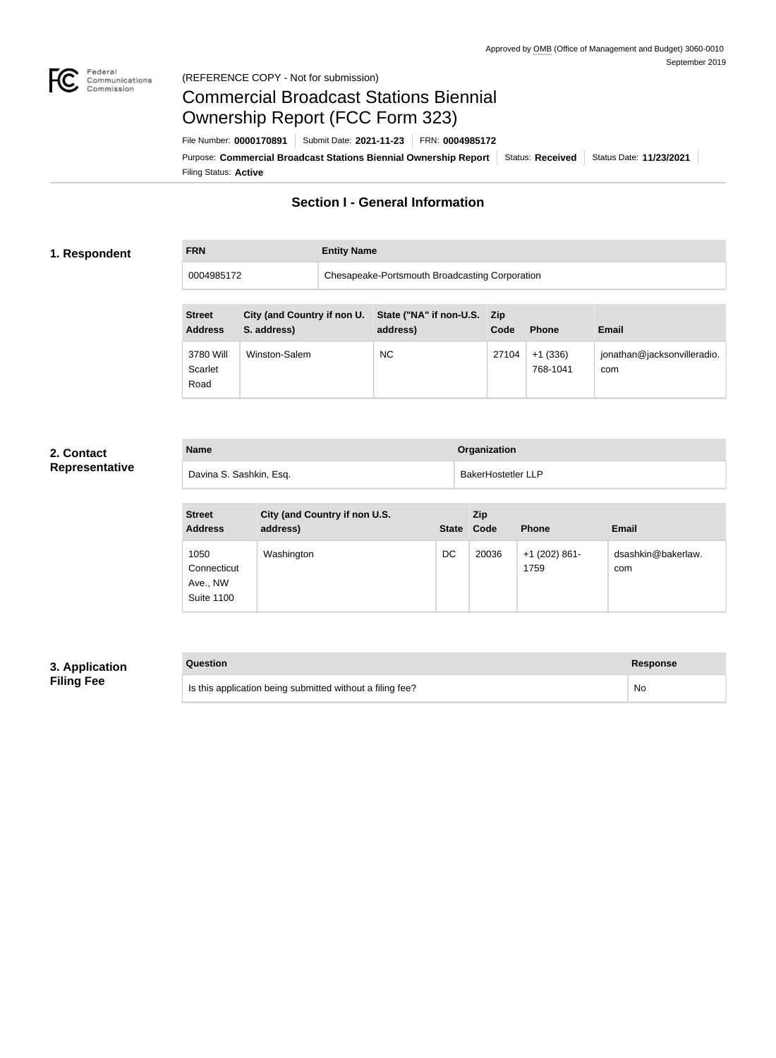

### Federal<br>Communications<br>Commission (REFERENCE COPY - Not for submission)

## Commercial Broadcast Stations Biennial Ownership Report (FCC Form 323)

**FRN Entity Name**

Filing Status: **Active** Purpose: Commercial Broadcast Stations Biennial Ownership Report Status: Received Status Date: 11/23/2021 File Number: **0000170891** Submit Date: **2021-11-23** FRN: **0004985172**

## **Section I - General Information**

### **1. Respondent**

0004985172 Chesapeake-Portsmouth Broadcasting Corporation

| <b>Street</b><br><b>Address</b> | City (and Country if non U.<br>S. address) | State ("NA" if non-U.S. Zip<br>address) | Code  | <b>Phone</b>          | <b>Email</b>                       |
|---------------------------------|--------------------------------------------|-----------------------------------------|-------|-----------------------|------------------------------------|
| 3780 Will<br>Scarlet<br>Road    | Winston-Salem                              | <b>NC</b>                               | 27104 | $+1(336)$<br>768-1041 | jonathan@jacksonvilleradio.<br>com |

### **2. Contact Representative**

| <b>Name</b>             | Organization              |
|-------------------------|---------------------------|
| Davina S. Sashkin, Esq. | <b>BakerHostetler LLP</b> |

| <b>Street</b><br><b>Address</b>                      | City (and Country if non U.S.<br>address) | <b>State</b> | Zip<br>Code | <b>Phone</b>            | <b>Email</b>              |
|------------------------------------------------------|-------------------------------------------|--------------|-------------|-------------------------|---------------------------|
| 1050<br>Connecticut<br>Ave., NW<br><b>Suite 1100</b> | Washington                                | DC           | 20036       | $+1$ (202) 861-<br>1759 | dsashkin@bakerlaw.<br>com |

## **3. Application Filing Fee**

| Question                                                  | Response |
|-----------------------------------------------------------|----------|
| Is this application being submitted without a filing fee? | No       |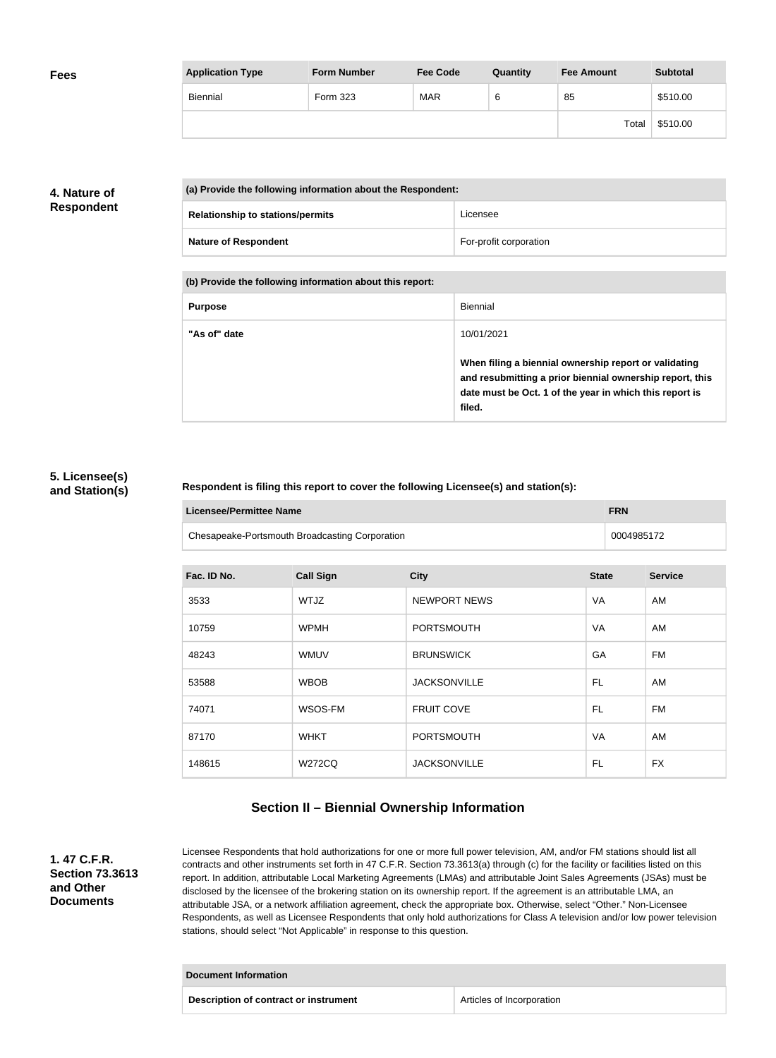| <b>Fees</b> | <b>Application Type</b> | <b>Form Number</b> | <b>Fee Code</b> | Quantity | <b>Fee Amount</b> | <b>Subtotal</b> |
|-------------|-------------------------|--------------------|-----------------|----------|-------------------|-----------------|
|             | Biennial                | Form 323           | <b>MAR</b>      | 6        | 85                | \$510.00        |
|             |                         |                    |                 |          | Total             | \$510.00        |

## **4. Nature of Respondent**

| (a) Provide the following information about the Respondent: |                        |  |
|-------------------------------------------------------------|------------------------|--|
| <b>Relationship to stations/permits</b>                     | Licensee               |  |
| <b>Nature of Respondent</b>                                 | For-profit corporation |  |

**(b) Provide the following information about this report:**

| <b>Purpose</b> | Biennial                                                                                                                                                                               |
|----------------|----------------------------------------------------------------------------------------------------------------------------------------------------------------------------------------|
| "As of" date   | 10/01/2021                                                                                                                                                                             |
|                | When filing a biennial ownership report or validating<br>and resubmitting a prior biennial ownership report, this<br>date must be Oct. 1 of the year in which this report is<br>filed. |

### **5. Licensee(s) and Station(s)**

### **Respondent is filing this report to cover the following Licensee(s) and station(s):**

| Licensee/Permittee Name |                                                | <b>FRN</b> |
|-------------------------|------------------------------------------------|------------|
|                         | Chesapeake-Portsmouth Broadcasting Corporation | 0004985172 |

| Fac. ID No. | <b>Call Sign</b> | <b>City</b>         | <b>State</b> | <b>Service</b> |
|-------------|------------------|---------------------|--------------|----------------|
| 3533        | WTJZ             | <b>NEWPORT NEWS</b> | VA           | AM             |
| 10759       | <b>WPMH</b>      | <b>PORTSMOUTH</b>   | VA           | AM             |
| 48243       | <b>WMUV</b>      | <b>BRUNSWICK</b>    | GA           | FM             |
| 53588       | <b>WBOB</b>      | <b>JACKSONVILLE</b> | FL           | AM             |
| 74071       | WSOS-FM          | <b>FRUIT COVE</b>   | FL           | FM             |
| 87170       | <b>WHKT</b>      | <b>PORTSMOUTH</b>   | VA           | AM             |
| 148615      | <b>W272CQ</b>    | <b>JACKSONVILLE</b> | FL           | <b>FX</b>      |

## **Section II – Biennial Ownership Information**

**1. 47 C.F.R. Section 73.3613 and Other Documents**

Licensee Respondents that hold authorizations for one or more full power television, AM, and/or FM stations should list all contracts and other instruments set forth in 47 C.F.R. Section 73.3613(a) through (c) for the facility or facilities listed on this report. In addition, attributable Local Marketing Agreements (LMAs) and attributable Joint Sales Agreements (JSAs) must be disclosed by the licensee of the brokering station on its ownership report. If the agreement is an attributable LMA, an attributable JSA, or a network affiliation agreement, check the appropriate box. Otherwise, select "Other." Non-Licensee Respondents, as well as Licensee Respondents that only hold authorizations for Class A television and/or low power television stations, should select "Not Applicable" in response to this question.

## **Document Information Description of contract or instrument Articles of Incorporation**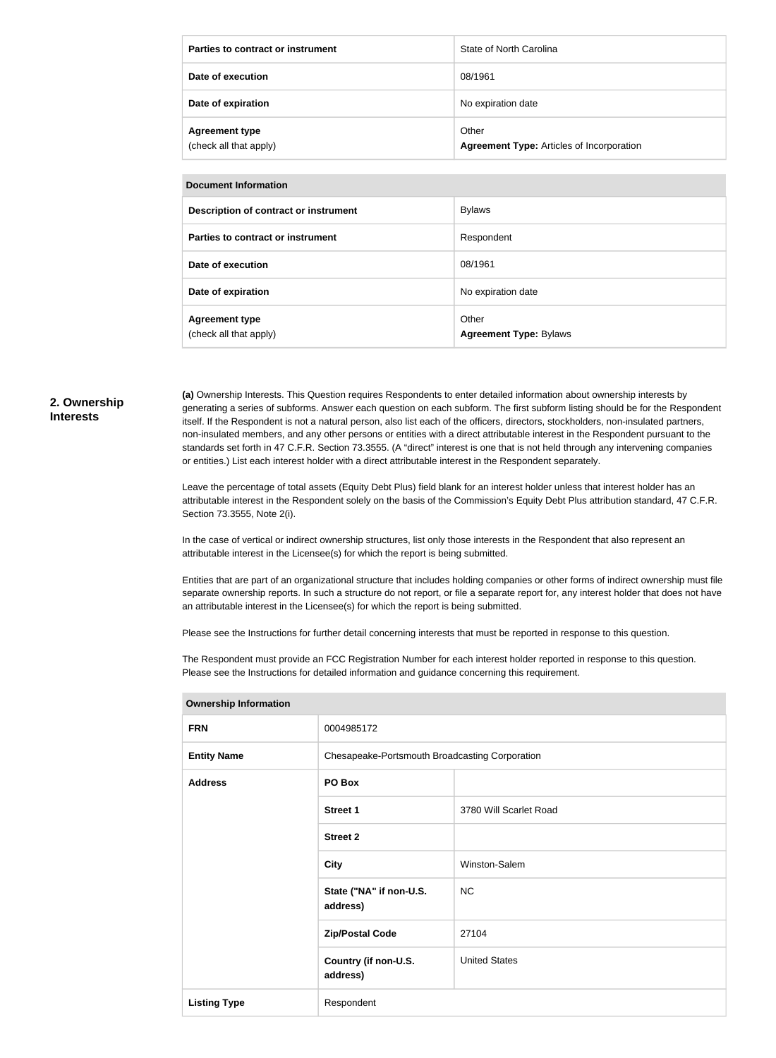| Parties to contract or instrument               | State of North Carolina                                   |
|-------------------------------------------------|-----------------------------------------------------------|
| Date of execution                               | 08/1961                                                   |
| Date of expiration                              | No expiration date                                        |
| <b>Agreement type</b><br>(check all that apply) | Other<br><b>Agreement Type: Articles of Incorporation</b> |

#### **Document Information**

| Description of contract or instrument           | <b>Bylaws</b>                          |
|-------------------------------------------------|----------------------------------------|
| Parties to contract or instrument               | Respondent                             |
| Date of execution                               | 08/1961                                |
| Date of expiration                              | No expiration date                     |
| <b>Agreement type</b><br>(check all that apply) | Other<br><b>Agreement Type: Bylaws</b> |

### **2. Ownership Interests**

**(a)** Ownership Interests. This Question requires Respondents to enter detailed information about ownership interests by generating a series of subforms. Answer each question on each subform. The first subform listing should be for the Respondent itself. If the Respondent is not a natural person, also list each of the officers, directors, stockholders, non-insulated partners, non-insulated members, and any other persons or entities with a direct attributable interest in the Respondent pursuant to the standards set forth in 47 C.F.R. Section 73.3555. (A "direct" interest is one that is not held through any intervening companies or entities.) List each interest holder with a direct attributable interest in the Respondent separately.

Leave the percentage of total assets (Equity Debt Plus) field blank for an interest holder unless that interest holder has an attributable interest in the Respondent solely on the basis of the Commission's Equity Debt Plus attribution standard, 47 C.F.R. Section 73.3555, Note 2(i).

In the case of vertical or indirect ownership structures, list only those interests in the Respondent that also represent an attributable interest in the Licensee(s) for which the report is being submitted.

Entities that are part of an organizational structure that includes holding companies or other forms of indirect ownership must file separate ownership reports. In such a structure do not report, or file a separate report for, any interest holder that does not have an attributable interest in the Licensee(s) for which the report is being submitted.

Please see the Instructions for further detail concerning interests that must be reported in response to this question.

The Respondent must provide an FCC Registration Number for each interest holder reported in response to this question. Please see the Instructions for detailed information and guidance concerning this requirement.

| 0004985172                                     |                        |  |
|------------------------------------------------|------------------------|--|
| Chesapeake-Portsmouth Broadcasting Corporation |                        |  |
| PO Box                                         |                        |  |
| <b>Street 1</b>                                | 3780 Will Scarlet Road |  |
| <b>Street 2</b>                                |                        |  |
| <b>City</b>                                    | Winston-Salem          |  |
| State ("NA" if non-U.S.<br>address)            | <b>NC</b>              |  |
| <b>Zip/Postal Code</b>                         | 27104                  |  |
| Country (if non-U.S.<br>address)               | <b>United States</b>   |  |
| Respondent                                     |                        |  |
|                                                |                        |  |

**Ownership Information**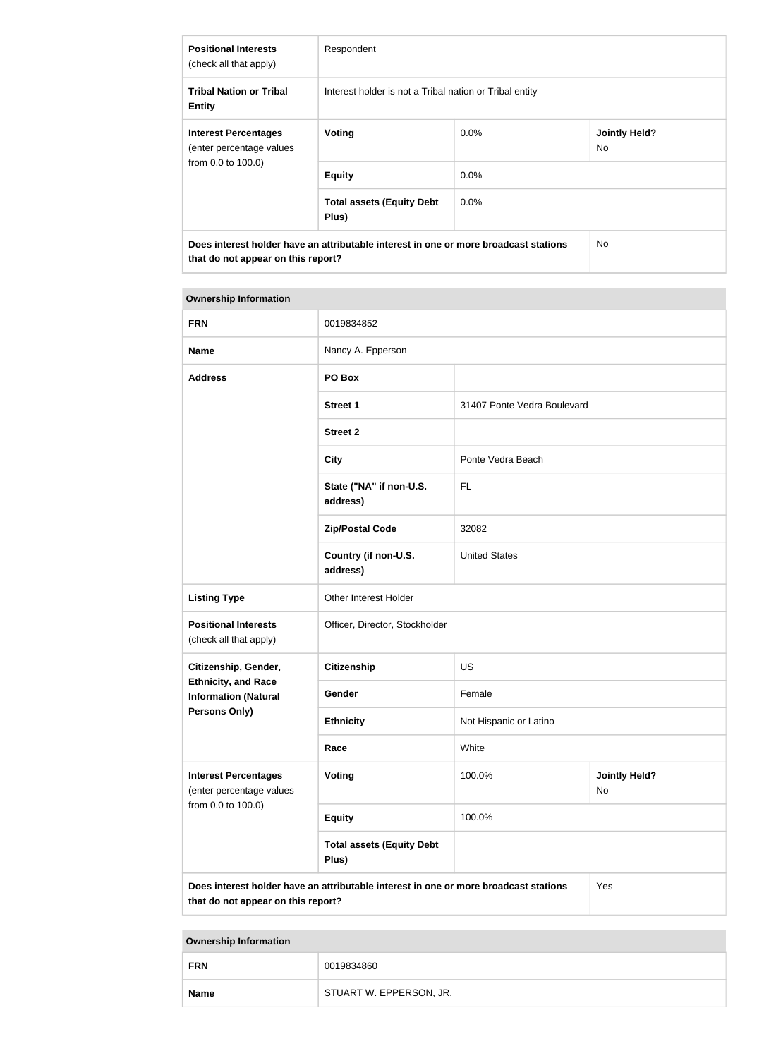| <b>Positional Interests</b><br>(check all that apply)                                                                      | Respondent                                              |         |                             |
|----------------------------------------------------------------------------------------------------------------------------|---------------------------------------------------------|---------|-----------------------------|
| <b>Tribal Nation or Tribal</b><br><b>Entity</b>                                                                            | Interest holder is not a Tribal nation or Tribal entity |         |                             |
| <b>Interest Percentages</b><br>(enter percentage values                                                                    | Voting                                                  | $0.0\%$ | <b>Jointly Held?</b><br>No. |
| from 0.0 to 100.0)                                                                                                         | <b>Equity</b>                                           | $0.0\%$ |                             |
|                                                                                                                            | <b>Total assets (Equity Debt</b><br>Plus)               | $0.0\%$ |                             |
| Does interest holder have an attributable interest in one or more broadcast stations<br>that do not appear on this report? |                                                         |         | No.                         |

### **Ownership Information**

| <b>FRN</b>                                                                    | 0019834852                                                                           |                             |                            |
|-------------------------------------------------------------------------------|--------------------------------------------------------------------------------------|-----------------------------|----------------------------|
| <b>Name</b>                                                                   | Nancy A. Epperson                                                                    |                             |                            |
| <b>Address</b>                                                                | PO Box                                                                               |                             |                            |
|                                                                               | <b>Street 1</b>                                                                      | 31407 Ponte Vedra Boulevard |                            |
|                                                                               | <b>Street 2</b>                                                                      |                             |                            |
|                                                                               | <b>City</b>                                                                          | Ponte Vedra Beach           |                            |
|                                                                               | State ("NA" if non-U.S.<br>address)                                                  | <b>FL</b>                   |                            |
|                                                                               | <b>Zip/Postal Code</b>                                                               | 32082                       |                            |
|                                                                               | Country (if non-U.S.<br>address)                                                     | <b>United States</b>        |                            |
| <b>Listing Type</b>                                                           | Other Interest Holder                                                                |                             |                            |
| <b>Positional Interests</b><br>(check all that apply)                         | Officer, Director, Stockholder                                                       |                             |                            |
| Citizenship, Gender,                                                          | <b>Citizenship</b>                                                                   | <b>US</b>                   |                            |
| <b>Ethnicity, and Race</b><br><b>Information (Natural</b><br>Persons Only)    | Gender                                                                               | Female                      |                            |
|                                                                               | <b>Ethnicity</b>                                                                     | Not Hispanic or Latino      |                            |
|                                                                               | Race                                                                                 | White                       |                            |
| <b>Interest Percentages</b><br>(enter percentage values<br>from 0.0 to 100.0) | <b>Voting</b>                                                                        | 100.0%                      | <b>Jointly Held?</b><br>No |
|                                                                               | <b>Equity</b>                                                                        | 100.0%                      |                            |
|                                                                               | <b>Total assets (Equity Debt</b><br>Plus)                                            |                             |                            |
| that do not appear on this report?                                            | Does interest holder have an attributable interest in one or more broadcast stations |                             | Yes                        |

**Ownership Information**

| <b>FRN</b>  | 0019834860              |
|-------------|-------------------------|
| <b>Name</b> | STUART W. EPPERSON, JR. |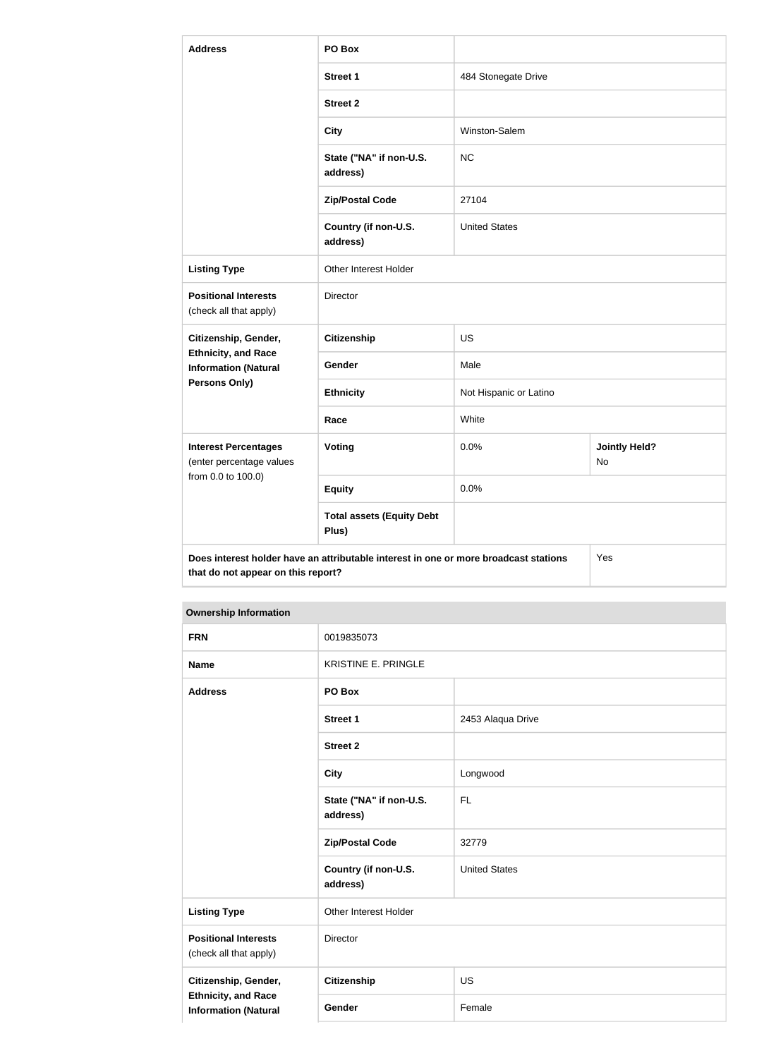| <b>Address</b>                                                                                     | PO Box                                                                               |                        |                                   |  |
|----------------------------------------------------------------------------------------------------|--------------------------------------------------------------------------------------|------------------------|-----------------------------------|--|
|                                                                                                    | <b>Street 1</b>                                                                      | 484 Stonegate Drive    |                                   |  |
|                                                                                                    | <b>Street 2</b>                                                                      |                        |                                   |  |
|                                                                                                    | <b>City</b>                                                                          | Winston-Salem          |                                   |  |
|                                                                                                    | State ("NA" if non-U.S.<br>address)                                                  | <b>NC</b>              |                                   |  |
|                                                                                                    | <b>Zip/Postal Code</b>                                                               | 27104                  |                                   |  |
|                                                                                                    | Country (if non-U.S.<br>address)                                                     | <b>United States</b>   |                                   |  |
| <b>Listing Type</b>                                                                                | Other Interest Holder                                                                |                        |                                   |  |
| <b>Positional Interests</b><br>(check all that apply)                                              | <b>Director</b>                                                                      |                        |                                   |  |
| Citizenship, Gender,<br><b>Ethnicity, and Race</b><br><b>Information (Natural</b><br>Persons Only) | <b>Citizenship</b>                                                                   | <b>US</b>              |                                   |  |
|                                                                                                    | Gender                                                                               | Male                   |                                   |  |
|                                                                                                    | <b>Ethnicity</b>                                                                     | Not Hispanic or Latino |                                   |  |
|                                                                                                    | Race                                                                                 | White                  |                                   |  |
| <b>Interest Percentages</b><br>(enter percentage values<br>from 0.0 to 100.0)                      | Voting                                                                               | 0.0%                   | <b>Jointly Held?</b><br><b>No</b> |  |
|                                                                                                    | <b>Equity</b>                                                                        | 0.0%                   |                                   |  |
|                                                                                                    | <b>Total assets (Equity Debt</b><br>Plus)                                            |                        |                                   |  |
| that do not appear on this report?                                                                 | Does interest holder have an attributable interest in one or more broadcast stations |                        | Yes                               |  |

### **Ownership Information**

| <b>FRN</b>                                                | 0019835073                          |                      |  |
|-----------------------------------------------------------|-------------------------------------|----------------------|--|
| <b>Name</b>                                               | <b>KRISTINE E. PRINGLE</b>          |                      |  |
| <b>Address</b>                                            | PO Box                              |                      |  |
|                                                           | <b>Street 1</b>                     | 2453 Alaqua Drive    |  |
|                                                           | <b>Street 2</b>                     |                      |  |
|                                                           | <b>City</b>                         | Longwood             |  |
|                                                           | State ("NA" if non-U.S.<br>address) | <b>FL</b>            |  |
|                                                           | <b>Zip/Postal Code</b>              | 32779                |  |
|                                                           | Country (if non-U.S.<br>address)    | <b>United States</b> |  |
| <b>Listing Type</b>                                       | Other Interest Holder               |                      |  |
| <b>Positional Interests</b><br>(check all that apply)     | Director                            |                      |  |
| Citizenship, Gender,                                      | Citizenship                         | <b>US</b>            |  |
| <b>Ethnicity, and Race</b><br><b>Information (Natural</b> | Gender                              | Female               |  |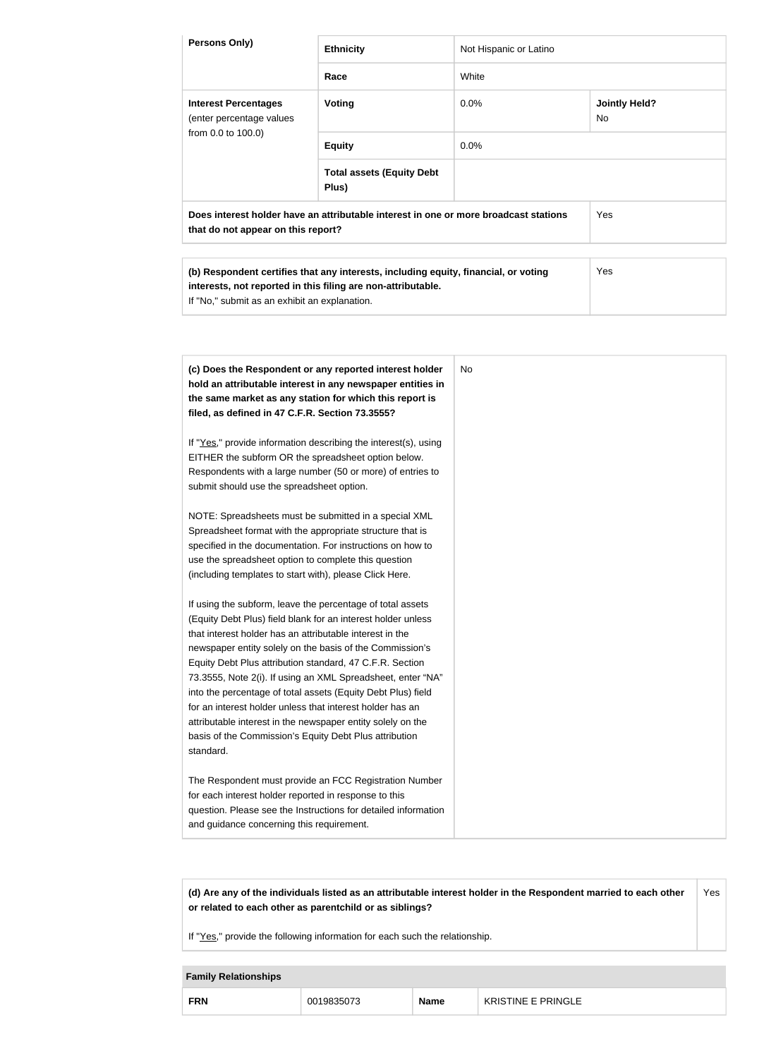| Persons Only)                                                                                                                                                                                                                                                                                                                                                                                                                                                                                                                                                                                                                                                                                                                                                                                                                                                                                                                                                                                                                                                                                                                                                                                                                                                                                                                                                                                                                                                                                 | <b>Ethnicity</b>                                                                                                                                    | Not Hispanic or Latino |                                   |
|-----------------------------------------------------------------------------------------------------------------------------------------------------------------------------------------------------------------------------------------------------------------------------------------------------------------------------------------------------------------------------------------------------------------------------------------------------------------------------------------------------------------------------------------------------------------------------------------------------------------------------------------------------------------------------------------------------------------------------------------------------------------------------------------------------------------------------------------------------------------------------------------------------------------------------------------------------------------------------------------------------------------------------------------------------------------------------------------------------------------------------------------------------------------------------------------------------------------------------------------------------------------------------------------------------------------------------------------------------------------------------------------------------------------------------------------------------------------------------------------------|-----------------------------------------------------------------------------------------------------------------------------------------------------|------------------------|-----------------------------------|
|                                                                                                                                                                                                                                                                                                                                                                                                                                                                                                                                                                                                                                                                                                                                                                                                                                                                                                                                                                                                                                                                                                                                                                                                                                                                                                                                                                                                                                                                                               | Race                                                                                                                                                | White                  |                                   |
| <b>Interest Percentages</b><br>(enter percentage values                                                                                                                                                                                                                                                                                                                                                                                                                                                                                                                                                                                                                                                                                                                                                                                                                                                                                                                                                                                                                                                                                                                                                                                                                                                                                                                                                                                                                                       | <b>Voting</b>                                                                                                                                       | 0.0%                   | <b>Jointly Held?</b><br><b>No</b> |
| from 0.0 to 100.0)                                                                                                                                                                                                                                                                                                                                                                                                                                                                                                                                                                                                                                                                                                                                                                                                                                                                                                                                                                                                                                                                                                                                                                                                                                                                                                                                                                                                                                                                            | <b>Equity</b>                                                                                                                                       | 0.0%                   |                                   |
|                                                                                                                                                                                                                                                                                                                                                                                                                                                                                                                                                                                                                                                                                                                                                                                                                                                                                                                                                                                                                                                                                                                                                                                                                                                                                                                                                                                                                                                                                               | <b>Total assets (Equity Debt</b><br>Plus)                                                                                                           |                        |                                   |
| that do not appear on this report?                                                                                                                                                                                                                                                                                                                                                                                                                                                                                                                                                                                                                                                                                                                                                                                                                                                                                                                                                                                                                                                                                                                                                                                                                                                                                                                                                                                                                                                            | Does interest holder have an attributable interest in one or more broadcast stations                                                                |                        | Yes                               |
| If "No," submit as an exhibit an explanation.                                                                                                                                                                                                                                                                                                                                                                                                                                                                                                                                                                                                                                                                                                                                                                                                                                                                                                                                                                                                                                                                                                                                                                                                                                                                                                                                                                                                                                                 | (b) Respondent certifies that any interests, including equity, financial, or voting<br>interests, not reported in this filing are non-attributable. |                        | Yes                               |
| (c) Does the Respondent or any reported interest holder<br>hold an attributable interest in any newspaper entities in<br>the same market as any station for which this report is<br>filed, as defined in 47 C.F.R. Section 73.3555?<br>If "Yes," provide information describing the interest(s), using<br>EITHER the subform OR the spreadsheet option below.<br>Respondents with a large number (50 or more) of entries to<br>submit should use the spreadsheet option.<br>NOTE: Spreadsheets must be submitted in a special XML<br>Spreadsheet format with the appropriate structure that is<br>specified in the documentation. For instructions on how to<br>use the spreadsheet option to complete this question<br>(including templates to start with), please Click Here.<br>If using the subform, leave the percentage of total assets<br>(Equity Debt Plus) field blank for an interest holder unless<br>that interest holder has an attributable interest in the<br>newspaper entity solely on the basis of the Commission's<br>Equity Debt Plus attribution standard, 47 C.F.R. Section<br>73.3555, Note 2(i). If using an XML Spreadsheet, enter "NA"<br>into the percentage of total assets (Equity Debt Plus) field<br>for an interest holder unless that interest holder has an<br>attributable interest in the newspaper entity solely on the<br>basis of the Commission's Equity Debt Plus attribution<br>standard.<br>The Respondent must provide an FCC Registration Number |                                                                                                                                                     | <b>No</b>              |                                   |
| for each interest holder reported in response to this<br>and guidance concerning this requirement.                                                                                                                                                                                                                                                                                                                                                                                                                                                                                                                                                                                                                                                                                                                                                                                                                                                                                                                                                                                                                                                                                                                                                                                                                                                                                                                                                                                            | question. Please see the Instructions for detailed information                                                                                      |                        |                                   |

**(d) Are any of the individuals listed as an attributable interest holder in the Respondent married to each other or related to each other as parentchild or as siblings?** Yes

If "Yes," provide the following information for each such the relationship.

# **Family Relationships FRN** 0019835073 **Name** KRISTINE E PRINGLE